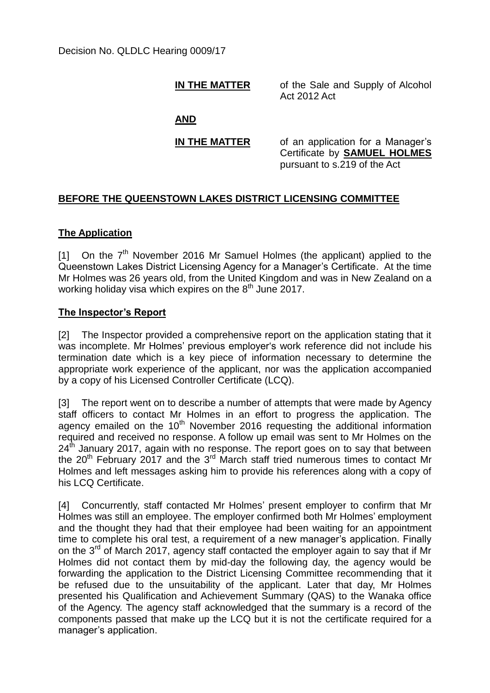**IN THE MATTER** of the Sale and Supply of Alcohol Act 2012 Act

**AND**

**IN THE MATTER** of an application for a Manager's Certificate by **SAMUEL HOLMES** pursuant to s.219 of the Act

# **BEFORE THE QUEENSTOWN LAKES DISTRICT LICENSING COMMITTEE**

## **The Application**

[1] On the  $7<sup>th</sup>$  November 2016 Mr Samuel Holmes (the applicant) applied to the Queenstown Lakes District Licensing Agency for a Manager's Certificate. At the time Mr Holmes was 26 years old, from the United Kingdom and was in New Zealand on a working holiday visa which expires on the 8<sup>th</sup> June 2017.

## **The Inspector's Report**

[2] The Inspector provided a comprehensive report on the application stating that it was incomplete. Mr Holmes' previous employer's work reference did not include his termination date which is a key piece of information necessary to determine the appropriate work experience of the applicant, nor was the application accompanied by a copy of his Licensed Controller Certificate (LCQ).

[3] The report went on to describe a number of attempts that were made by Agency staff officers to contact Mr Holmes in an effort to progress the application. The agency emailed on the  $10<sup>th</sup>$  November 2016 requesting the additional information required and received no response. A follow up email was sent to Mr Holmes on the 24<sup>th</sup> January 2017, again with no response. The report goes on to say that between the 20<sup>th</sup> February 2017 and the 3<sup>rd</sup> March staff tried numerous times to contact Mr Holmes and left messages asking him to provide his references along with a copy of his LCQ Certificate.

[4] Concurrently, staff contacted Mr Holmes' present employer to confirm that Mr Holmes was still an employee. The employer confirmed both Mr Holmes' employment and the thought they had that their employee had been waiting for an appointment time to complete his oral test, a requirement of a new manager's application. Finally on the  $3^{rd}$  of March 2017, agency staff contacted the employer again to say that if Mr Holmes did not contact them by mid-day the following day, the agency would be forwarding the application to the District Licensing Committee recommending that it be refused due to the unsuitability of the applicant. Later that day, Mr Holmes presented his Qualification and Achievement Summary (QAS) to the Wanaka office of the Agency. The agency staff acknowledged that the summary is a record of the components passed that make up the LCQ but it is not the certificate required for a manager's application.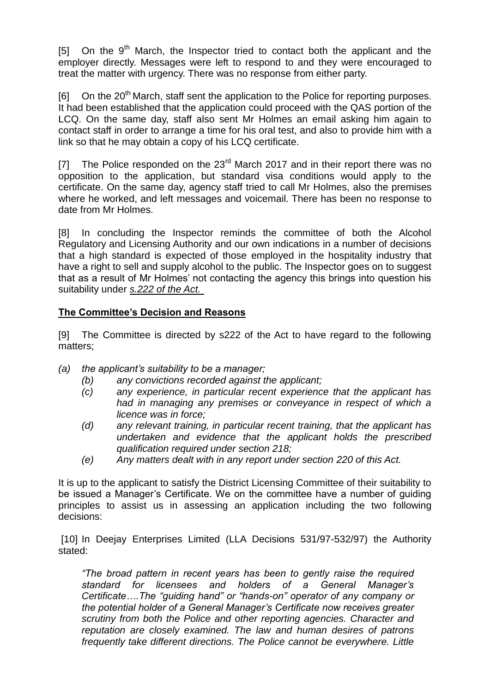[5] On the  $9<sup>th</sup>$  March, the Inspector tried to contact both the applicant and the employer directly. Messages were left to respond to and they were encouraged to treat the matter with urgency. There was no response from either party.

[6] On the 20<sup>th</sup> March, staff sent the application to the Police for reporting purposes. It had been established that the application could proceed with the QAS portion of the LCQ. On the same day, staff also sent Mr Holmes an email asking him again to contact staff in order to arrange a time for his oral test, and also to provide him with a link so that he may obtain a copy of his LCQ certificate.

[7] The Police responded on the  $23<sup>rd</sup>$  March 2017 and in their report there was no opposition to the application, but standard visa conditions would apply to the certificate. On the same day, agency staff tried to call Mr Holmes, also the premises where he worked, and left messages and voicemail. There has been no response to date from Mr Holmes.

[8] In concluding the Inspector reminds the committee of both the Alcohol Regulatory and Licensing Authority and our own indications in a number of decisions that a high standard is expected of those employed in the hospitality industry that have a right to sell and supply alcohol to the public. The Inspector goes on to suggest that as a result of Mr Holmes' not contacting the agency this brings into question his suitability under *s.222 of the Act.*

## **The Committee's Decision and Reasons**

[9] The Committee is directed by s222 of the Act to have regard to the following matters;

- *(a) the applicant's suitability to be a manager;*
	- *(b) any convictions recorded against the applicant;*
	- *(c) any experience, in particular recent experience that the applicant has had in managing any premises or conveyance in respect of which a licence was in force;*
	- *(d) any relevant training, in particular recent training, that the applicant has undertaken and evidence that the applicant holds the prescribed qualification required under section 218;*
	- *(e) Any matters dealt with in any report under section 220 of this Act.*

It is up to the applicant to satisfy the District Licensing Committee of their suitability to be issued a Manager's Certificate. We on the committee have a number of guiding principles to assist us in assessing an application including the two following decisions:

[10] In Deejay Enterprises Limited (LLA Decisions 531/97-532/97) the Authority stated:

*"The broad pattern in recent years has been to gently raise the required standard for licensees and holders of a General Manager's Certificate….The "guiding hand" or "hands-on" operator of any company or the potential holder of a General Manager's Certificate now receives greater scrutiny from both the Police and other reporting agencies. Character and reputation are closely examined. The law and human desires of patrons frequently take different directions. The Police cannot be everywhere. Little*